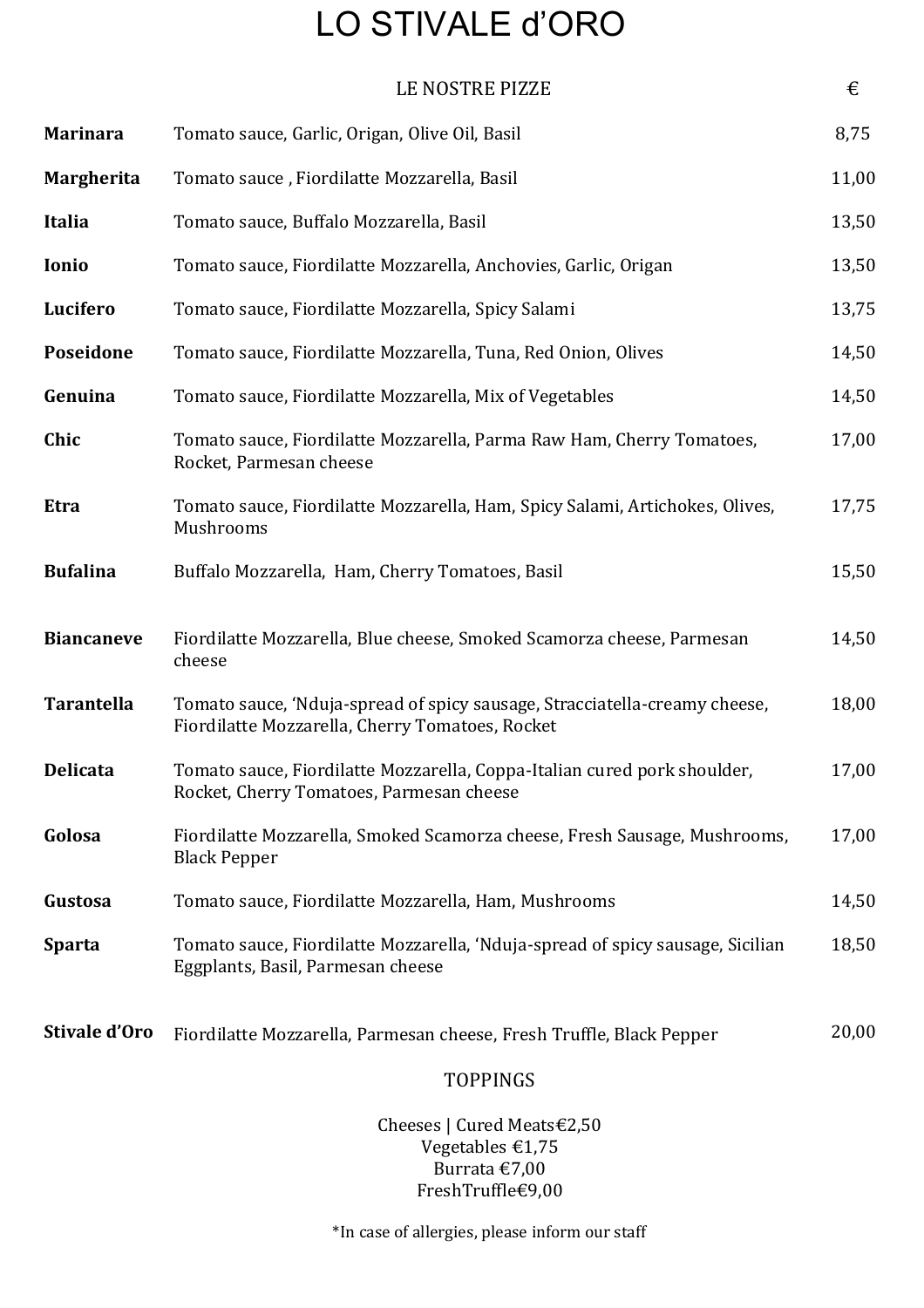## LO STIVALE d'ORO

|                   | LE NOSTRE PIZZE                                                                                                               | €     |
|-------------------|-------------------------------------------------------------------------------------------------------------------------------|-------|
| <b>Marinara</b>   | Tomato sauce, Garlic, Origan, Olive Oil, Basil                                                                                | 8,75  |
| Margherita        | Tomato sauce, Fiordilatte Mozzarella, Basil                                                                                   | 11,00 |
| <b>Italia</b>     | Tomato sauce, Buffalo Mozzarella, Basil                                                                                       | 13,50 |
| Ionio             | Tomato sauce, Fiordilatte Mozzarella, Anchovies, Garlic, Origan                                                               | 13,50 |
| Lucifero          | Tomato sauce, Fiordilatte Mozzarella, Spicy Salami                                                                            | 13,75 |
| Poseidone         | Tomato sauce, Fiordilatte Mozzarella, Tuna, Red Onion, Olives                                                                 | 14,50 |
| Genuina           | Tomato sauce, Fiordilatte Mozzarella, Mix of Vegetables                                                                       | 14,50 |
| Chic              | Tomato sauce, Fiordilatte Mozzarella, Parma Raw Ham, Cherry Tomatoes,<br>Rocket, Parmesan cheese                              | 17,00 |
| <b>Etra</b>       | Tomato sauce, Fiordilatte Mozzarella, Ham, Spicy Salami, Artichokes, Olives,<br>Mushrooms                                     | 17,75 |
| <b>Bufalina</b>   | Buffalo Mozzarella, Ham, Cherry Tomatoes, Basil                                                                               | 15,50 |
| <b>Biancaneve</b> | Fiordilatte Mozzarella, Blue cheese, Smoked Scamorza cheese, Parmesan<br>cheese                                               | 14,50 |
| <b>Tarantella</b> | Tomato sauce, 'Nduja-spread of spicy sausage, Stracciatella-creamy cheese,<br>Fiordilatte Mozzarella, Cherry Tomatoes, Rocket | 18,00 |
| <b>Delicata</b>   | Tomato sauce, Fiordilatte Mozzarella, Coppa-Italian cured pork shoulder,<br>Rocket, Cherry Tomatoes, Parmesan cheese          | 17,00 |
| Golosa            | Fiordilatte Mozzarella, Smoked Scamorza cheese, Fresh Sausage, Mushrooms,<br><b>Black Pepper</b>                              | 17,00 |
| Gustosa           | Tomato sauce, Fiordilatte Mozzarella, Ham, Mushrooms                                                                          | 14,50 |
| <b>Sparta</b>     | Tomato sauce, Fiordilatte Mozzarella, 'Nduja-spread of spicy sausage, Sicilian<br>Eggplants, Basil, Parmesan cheese           | 18,50 |
| Stivale d'Oro     | Fiordilatte Mozzarella, Parmesan cheese, Fresh Truffle, Black Pepper                                                          | 20,00 |
|                   | TOPPINGS                                                                                                                      |       |

Cheeses | Cured Meats€2,50 Vegetables €1,75 Burrata €7,00 FreshTruffle€9,00

\*In case of allergies, please inform our staff